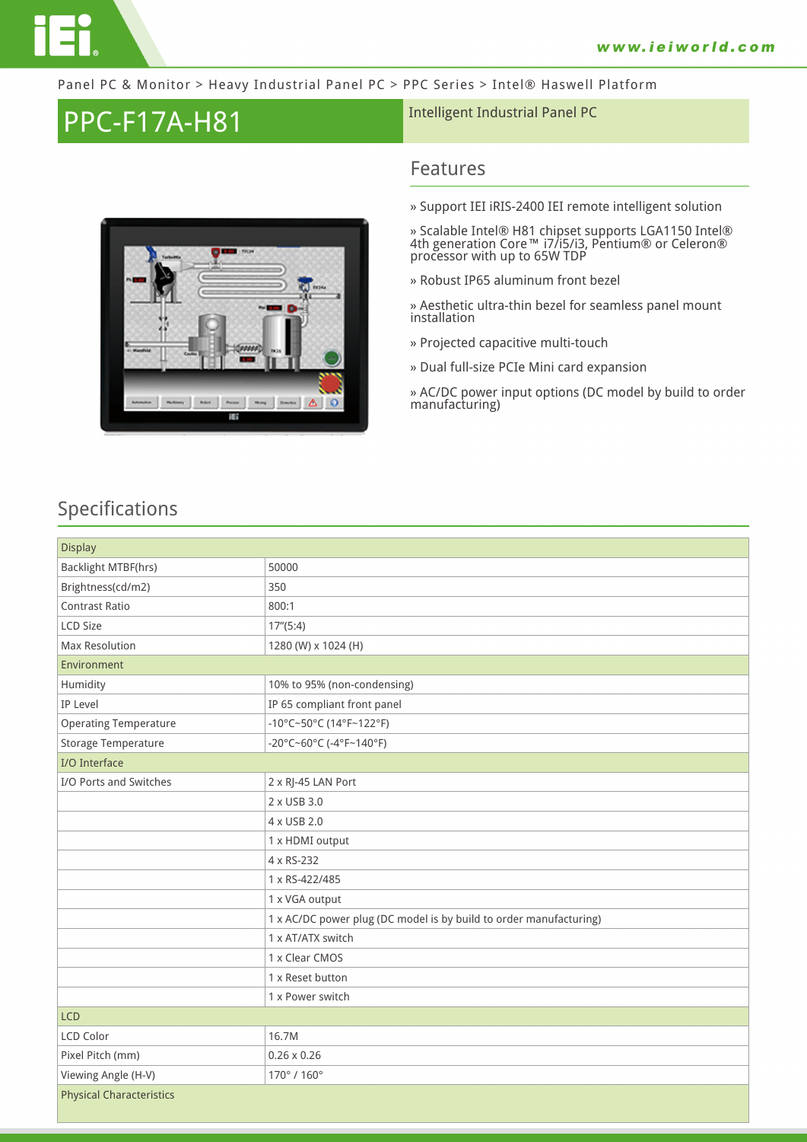

#### Panel PC & Monitor > Heavy Industrial Panel PC > PPC Series > Intel® Haswell Platform

# PPC-F17A-H81 **Intelligent Industrial Panel PC**



### **Features**

**» Support IEI iRIS-2400 IEI remote intelligent solution**

**» Scalable Intel® H81 chipset supports LGA1150 Intel® 4th generation Core™ i7/i5/i3, Pentium® or Celeron® processor with up to 65W TDP**

**» Robust IP65 aluminum front bezel**

**» Aesthetic ultra-thin bezel for seamless panel mount installation**

- **» Projected capacitive multi-touch**
- **» Dual full-size PCIe Mini card expansion**

**» AC/DC power input options (DC model by build to order manufacturing)**

### **Specifications**

| <b>Display</b>                  |                                                                    |
|---------------------------------|--------------------------------------------------------------------|
| Backlight MTBF(hrs)             | 50000                                                              |
| Brightness(cd/m2)               | 350                                                                |
| <b>Contrast Ratio</b>           | 800:1                                                              |
| LCD Size                        | 17''(5:4)                                                          |
| <b>Max Resolution</b>           | 1280 (W) x 1024 (H)                                                |
| Environment                     |                                                                    |
| Humidity                        | 10% to 95% (non-condensing)                                        |
| IP Level                        | IP 65 compliant front panel                                        |
| <b>Operating Temperature</b>    | -10°C~50°C (14°F~122°F)                                            |
| Storage Temperature             | -20°C~60°C (-4°F~140°F)                                            |
| I/O Interface                   |                                                                    |
| I/O Ports and Switches          | 2 x RJ-45 LAN Port                                                 |
|                                 | 2 x USB 3.0                                                        |
|                                 | 4 x USB 2.0                                                        |
|                                 | 1 x HDMI output                                                    |
|                                 | 4 x RS-232                                                         |
|                                 | 1 x RS-422/485                                                     |
|                                 | 1 x VGA output                                                     |
|                                 | 1 x AC/DC power plug (DC model is by build to order manufacturing) |
|                                 | 1 x AT/ATX switch                                                  |
|                                 | 1 x Clear CMOS                                                     |
|                                 | 1 x Reset button                                                   |
|                                 | 1 x Power switch                                                   |
| <b>LCD</b>                      |                                                                    |
| LCD Color                       | 16.7M                                                              |
| Pixel Pitch (mm)                | $0.26 \times 0.26$                                                 |
| Viewing Angle (H-V)             | 170°/160°                                                          |
| <b>Physical Characteristics</b> |                                                                    |